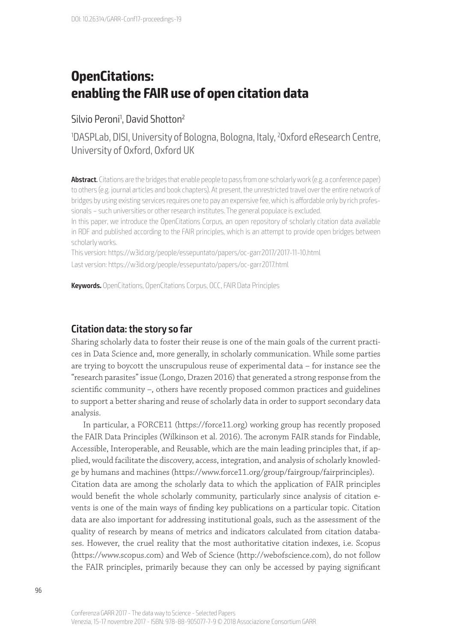# **OpenCitations: enabling the FAIR use of open citation data**

### Silvio Peroni<sup>1</sup>, David Shotton<sup>2</sup>

1 DASPLab, DISI, University of Bologna, Bologna, Italy, 2 Oxford eResearch Centre, University of Oxford, Oxford UK

**Abstract**. Citations are the bridges that enable people to pass from one scholarly work (e.g. a conference paper) to others (e.g. journal articles and book chapters). At present, the unrestricted travel over the entire network of bridges by using existing services requires one to pay an expensive fee, which is affordable only by rich professionals – such universities or other research institutes. The general populace is excluded.

In this paper, we introduce the OpenCitations Corpus, an open repository of scholarly citation data available in RDF and published according to the FAIR principles, which is an attempt to provide open bridges between scholarly works.

This version: https://w3id.org/people/essepuntato/papers/oc-garr2017/2017-11-10.html Last version: https://w3id.org/people/essepuntato/papers/oc-garr2017.html

**Keywords.** OpenCitations, OpenCitations Corpus, OCC, FAIR Data Principles

### **Citation data: the story so far**

Sharing scholarly data to foster their reuse is one of the main goals of the current practices in Data Science and, more generally, in scholarly communication. While some parties are trying to boycott the unscrupulous reuse of experimental data – for instance see the "research parasites" issue (Longo, Drazen 2016) that generated a strong response from the scientific community –, others have recently proposed common practices and guidelines to support a better sharing and reuse of scholarly data in order to support secondary data analysis.

In particular, a FORCE11 (https://force11.org) working group has recently proposed the FAIR Data Principles (Wilkinson et al. 2016). The acronym FAIR stands for Findable, Accessible, Interoperable, and Reusable, which are the main leading principles that, if applied, would facilitate the discovery, access, integration, and analysis of scholarly knowledge by humans and machines (https://www.force11.org/group/fairgroup/fairprinciples). Citation data are among the scholarly data to which the application of FAIR principles would benefit the whole scholarly community, particularly since analysis of citation events is one of the main ways of finding key publications on a particular topic. Citation data are also important for addressing institutional goals, such as the assessment of the quality of research by means of metrics and indicators calculated from citation databases. However, the cruel reality that the most authoritative citation indexes, i.e. Scopus (https://www.scopus.com) and Web of Science (http://webofscience.com), do not follow the FAIR principles, primarily because they can only be accessed by paying significant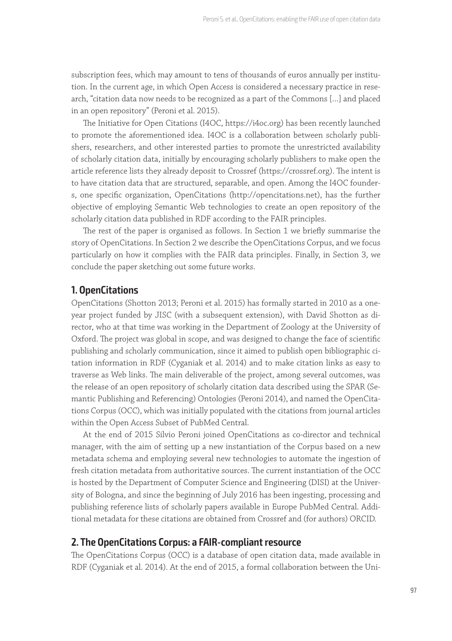subscription fees, which may amount to tens of thousands of euros annually per institution. In the current age, in which Open Access is considered a necessary practice in research, "citation data now needs to be recognized as a part of the Commons […] and placed in an open repository" (Peroni et al. 2015).

The Initiative for Open Citations (I4OC, https://i4oc.org) has been recently launched to promote the aforementioned idea. I4OC is a collaboration between scholarly publishers, researchers, and other interested parties to promote the unrestricted availability of scholarly citation data, initially by encouraging scholarly publishers to make open the article reference lists they already deposit to Crossref (https://crossref.org). The intent is to have citation data that are structured, separable, and open. Among the I4OC founders, one specific organization, OpenCitations (http://opencitations.net), has the further objective of employing Semantic Web technologies to create an open repository of the scholarly citation data published in RDF according to the FAIR principles.

The rest of the paper is organised as follows. In Section 1 we briefly summarise the story of OpenCitations. In Section 2 we describe the OpenCitations Corpus, and we focus particularly on how it complies with the FAIR data principles. Finally, in Section 3, we conclude the paper sketching out some future works.

#### **1. OpenCitations**

OpenCitations (Shotton 2013; Peroni et al. 2015) has formally started in 2010 as a oneyear project funded by JISC (with a subsequent extension), with David Shotton as director, who at that time was working in the Department of Zoology at the University of Oxford. The project was global in scope, and was designed to change the face of scientific publishing and scholarly communication, since it aimed to publish open bibliographic citation information in RDF (Cyganiak et al. 2014) and to make citation links as easy to traverse as Web links. The main deliverable of the project, among several outcomes, was the release of an open repository of scholarly citation data described using the SPAR (Semantic Publishing and Referencing) Ontologies (Peroni 2014), and named the OpenCitations Corpus (OCC), which was initially populated with the citations from journal articles within the Open Access Subset of PubMed Central.

At the end of 2015 Silvio Peroni joined OpenCitations as co-director and technical manager, with the aim of setting up a new instantiation of the Corpus based on a new metadata schema and employing several new technologies to automate the ingestion of fresh citation metadata from authoritative sources. The current instantiation of the OCC is hosted by the Department of Computer Science and Engineering (DISI) at the University of Bologna, and since the beginning of July 2016 has been ingesting, processing and publishing reference lists of scholarly papers available in Europe PubMed Central. Additional metadata for these citations are obtained from Crossref and (for authors) ORCID.

#### **2. The OpenCitations Corpus: a FAIR-compliant resource**

The OpenCitations Corpus (OCC) is a database of open citation data, made available in RDF (Cyganiak et al. 2014). At the end of 2015, a formal collaboration between the Uni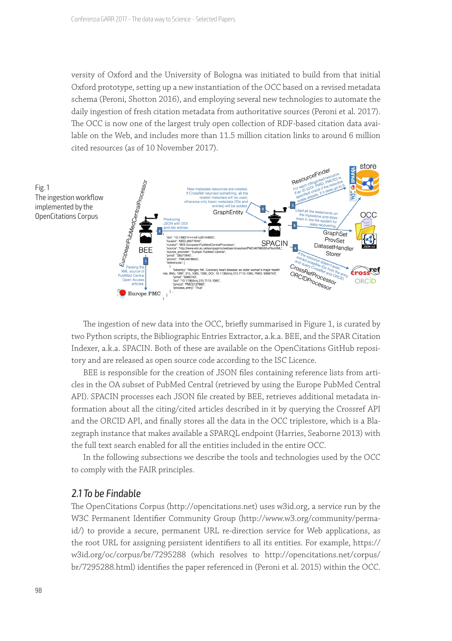versity of Oxford and the University of Bologna was initiated to build from that initial Oxford prototype, setting up a new instantiation of the OCC based on a revised metadata schema (Peroni, Shotton 2016), and employing several new technologies to automate the daily ingestion of fresh citation metadata from authoritative sources (Peroni et al. 2017). The OCC is now one of the largest truly open collection of RDF-based citation data available on the Web, and includes more than 11.5 million citation links to around 6 million cited resources (as of 10 November 2017).



The ingestion of new data into the OCC, briefly summarised in Figure 1, is curated by two Python scripts, the Bibliographic Entries Extractor, a.k.a. BEE, and the SPAR Citation Indexer, a.k.a. SPACIN. Both of these are available on the OpenCitations GitHub repository and are released as open source code according to the ISC Licence.

BEE is responsible for the creation of JSON files containing reference lists from articles in the OA subset of PubMed Central (retrieved by using the Europe PubMed Central API). SPACIN processes each JSON file created by BEE, retrieves additional metadata information about all the citing/cited articles described in it by querying the Crossref API and the ORCID API, and finally stores all the data in the OCC triplestore, which is a Blazegraph instance that makes available a SPARQL endpoint (Harries, Seaborne 2013) with the full text search enabled for all the entities included in the entire OCC.

In the following subsections we describe the tools and technologies used by the OCC to comply with the FAIR principles.

#### 2.1 To be Findable

The OpenCitations Corpus (http://opencitations.net) uses w3id.org, a service run by the W3C Permanent Identifier Community Group (http://www.w3.org/community/permaid/) to provide a secure, permanent URL re-direction service for Web applications, as the root URL for assigning persistent identifiers to all its entities. For example, https:// w3id.org/oc/corpus/br/7295288 (which resolves to http://opencitations.net/corpus/ br/7295288.html) identifies the paper referenced in (Peroni et al. 2015) within the OCC.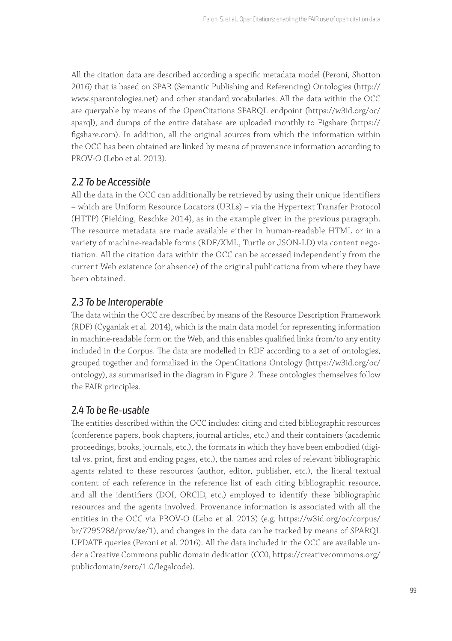All the citation data are described according a specific metadata model (Peroni, Shotton 2016) that is based on SPAR (Semantic Publishing and Referencing) Ontologies (http:// www.sparontologies.net) and other standard vocabularies. All the data within the OCC are queryable by means of the OpenCitations SPARQL endpoint (https://w3id.org/oc/ sparql), and dumps of the entire database are uploaded monthly to Figshare (https:// figshare.com). In addition, all the original sources from which the information within the OCC has been obtained are linked by means of provenance information according to PROV-O (Lebo et al. 2013).

### 2.2 To be Accessible

All the data in the OCC can additionally be retrieved by using their unique identifiers – which are Uniform Resource Locators (URLs) – via the Hypertext Transfer Protocol (HTTP) (Fielding, Reschke 2014), as in the example given in the previous paragraph. The resource metadata are made available either in human-readable HTML or in a variety of machine-readable forms (RDF/XML, Turtle or JSON-LD) via content negotiation. All the citation data within the OCC can be accessed independently from the current Web existence (or absence) of the original publications from where they have been obtained.

# 2.3 To be Interoperable

The data within the OCC are described by means of the Resource Description Framework (RDF) (Cyganiak et al. 2014), which is the main data model for representing information in machine-readable form on the Web, and this enables qualified links from/to any entity included in the Corpus. The data are modelled in RDF according to a set of ontologies, grouped together and formalized in the OpenCitations Ontology (https://w3id.org/oc/ ontology), as summarised in the diagram in Figure 2. These ontologies themselves follow the FAIR principles.

# 2.4 To be Re-usable

The entities described within the OCC includes: citing and cited bibliographic resources (conference papers, book chapters, journal articles, etc.) and their containers (academic proceedings, books, journals, etc.), the formats in which they have been embodied (digital vs. print, first and ending pages, etc.), the names and roles of relevant bibliographic agents related to these resources (author, editor, publisher, etc.), the literal textual content of each reference in the reference list of each citing bibliographic resource, and all the identifiers (DOI, ORCID, etc.) employed to identify these bibliographic resources and the agents involved. Provenance information is associated with all the entities in the OCC via PROV-O (Lebo et al. 2013) (e.g. https://w3id.org/oc/corpus/ br/7295288/prov/se/1), and changes in the data can be tracked by means of SPARQL UPDATE queries (Peroni et al. 2016). All the data included in the OCC are available under a Creative Commons public domain dedication (CC0, https://creativecommons.org/ publicdomain/zero/1.0/legalcode).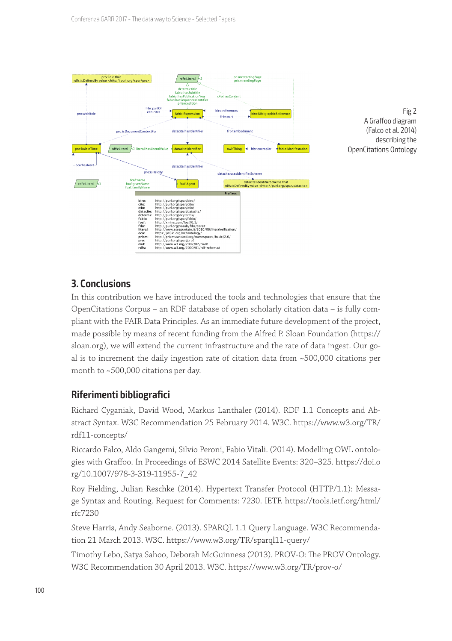

Fig 2 A Graffoo diagram (Falco et al. 2014) describing the OpenCitations Ontology

# **3. Conclusions**

In this contribution we have introduced the tools and technologies that ensure that the OpenCitations Corpus – an RDF database of open scholarly citation data – is fully compliant with the FAIR Data Principles. As an immediate future development of the project, made possible by means of recent funding from the Alfred P. Sloan Foundation (https:// sloan.org), we will extend the current infrastructure and the rate of data ingest. Our goal is to increment the daily ingestion rate of citation data from ~500,000 citations per month to ~500,000 citations per day.

# **Riferimenti bibliografici**

Richard Cyganiak, David Wood, Markus Lanthaler (2014). RDF 1.1 Concepts and Abstract Syntax. W3C Recommendation 25 February 2014. W3C. https://www.w3.org/TR/ rdf11-concepts/

Riccardo Falco, Aldo Gangemi, Silvio Peroni, Fabio Vitali. (2014). Modelling OWL ontologies with Graffoo. In Proceedings of ESWC 2014 Satellite Events: 320–325. https://doi.o rg/10.1007/978-3-319-11955-7\_42

Roy Fielding, Julian Reschke (2014). Hypertext Transfer Protocol (HTTP/1.1): Message Syntax and Routing. Request for Comments: 7230. IETF. https://tools.ietf.org/html/ rfc7230

Steve Harris, Andy Seaborne. (2013). SPARQL 1.1 Query Language. W3C Recommendation 21 March 2013. W3C. https://www.w3.org/TR/sparql11-query/

Timothy Lebo, Satya Sahoo, Deborah McGuinness (2013). PROV-O: The PROV Ontology. W3C Recommendation 30 April 2013. W3C. https://www.w3.org/TR/prov-o/